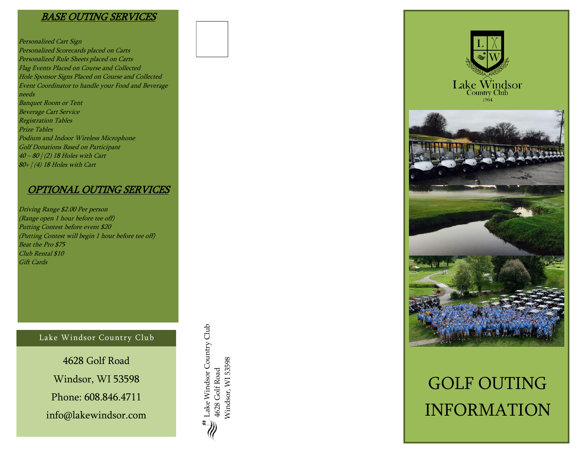# BASE OUTING SERVICES

Personalized Cart Sign Personalized Scorecards placed on Carts Personalized Rule Sheets placed on Carts Flag Events Placed on Course and Collected Hole Sponsor Signs Placed on Course and Collected Event Coordinator to handle your Food and Beverage needs Banquet Room or Tent Beverage Cart Service Registration Tables Prize Tables Podium and Indoor Wireless Microphone Golf Donations Based on Participant 40 – 80 | (2) 18 Holes with Cart  $80+$  / (4) 18 Holes with Cart

# OPTIONAL OUTING SERVICES

Driving Range \$2.00 Per person (Range open 1 hour before tee off) Putting Contest before event \$20 (Putting Contest will begin 1 hour before tee off) Beat the Pro \$75 Club Rental \$10 Gift Cards

#### Lake Windsor Country Club

4628 Golf Road Windsor, WI 53598 Phone: 608.846.4711 info@lakewindsor.com



Lake Windsor Country Club

Lake Windsor Country Club

4628 Golf Road Windsor, WI 53598

Nindsor, WI 53598 4628 Golf Road



# GOLF OUTING INFORMATION